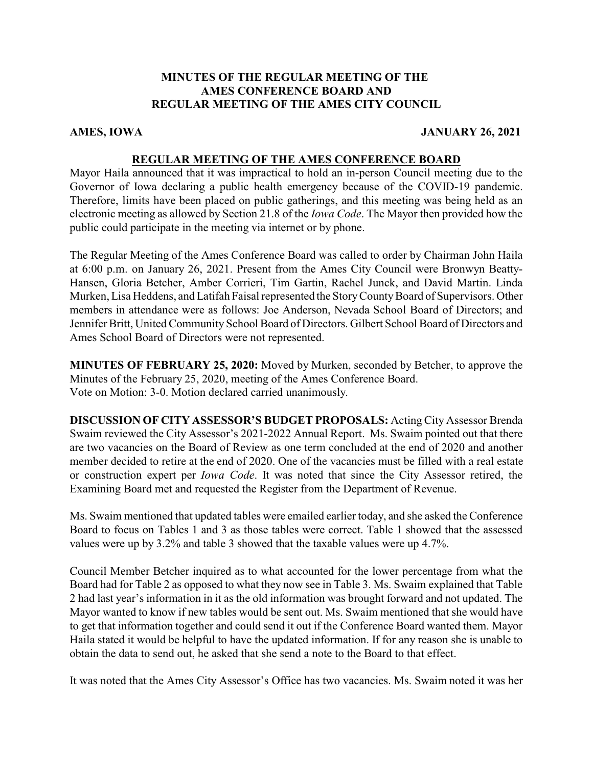# **MINUTES OF THE REGULAR MEETING OF THE AMES CONFERENCE BOARD AND REGULAR MEETING OF THE AMES CITY COUNCIL**

## **AMES, IOWA JANUARY 26, 2021**

## **REGULAR MEETING OF THE AMES CONFERENCE BOARD**

Mayor Haila announced that it was impractical to hold an in-person Council meeting due to the Governor of Iowa declaring a public health emergency because of the COVID-19 pandemic. Therefore, limits have been placed on public gatherings, and this meeting was being held as an electronic meeting as allowed by Section 21.8 of the *Iowa Code*. The Mayor then provided how the public could participate in the meeting via internet or by phone.

The Regular Meeting of the Ames Conference Board was called to order by Chairman John Haila at 6:00 p.m. on January 26, 2021. Present from the Ames City Council were Bronwyn Beatty-Hansen, Gloria Betcher, Amber Corrieri, Tim Gartin, Rachel Junck, and David Martin. Linda Murken, Lisa Heddens, and Latifah Faisal represented the StoryCountyBoard of Supervisors. Other members in attendance were as follows: Joe Anderson, Nevada School Board of Directors; and Jennifer Britt, United Community School Board of Directors. Gilbert School Board of Directors and Ames School Board of Directors were not represented.

**MINUTES OF FEBRUARY 25, 2020:** Moved by Murken, seconded by Betcher, to approve the Minutes of the February 25, 2020, meeting of the Ames Conference Board. Vote on Motion: 3-0. Motion declared carried unanimously.

**DISCUSSION OF CITY ASSESSOR'S BUDGET PROPOSALS:** Acting City Assessor Brenda Swaim reviewed the City Assessor's 2021-2022 Annual Report. Ms. Swaim pointed out that there are two vacancies on the Board of Review as one term concluded at the end of 2020 and another member decided to retire at the end of 2020. One of the vacancies must be filled with a real estate or construction expert per *Iowa Code*. It was noted that since the City Assessor retired, the Examining Board met and requested the Register from the Department of Revenue.

Ms. Swaim mentioned that updated tables were emailed earlier today, and she asked the Conference Board to focus on Tables 1 and 3 as those tables were correct. Table 1 showed that the assessed values were up by 3.2% and table 3 showed that the taxable values were up 4.7%.

Council Member Betcher inquired as to what accounted for the lower percentage from what the Board had for Table 2 as opposed to what they now see in Table 3. Ms. Swaim explained that Table 2 had last year's information in it as the old information was brought forward and not updated. The Mayor wanted to know if new tables would be sent out. Ms. Swaim mentioned that she would have to get that information together and could send it out if the Conference Board wanted them. Mayor Haila stated it would be helpful to have the updated information. If for any reason she is unable to obtain the data to send out, he asked that she send a note to the Board to that effect.

It was noted that the Ames City Assessor's Office has two vacancies. Ms. Swaim noted it was her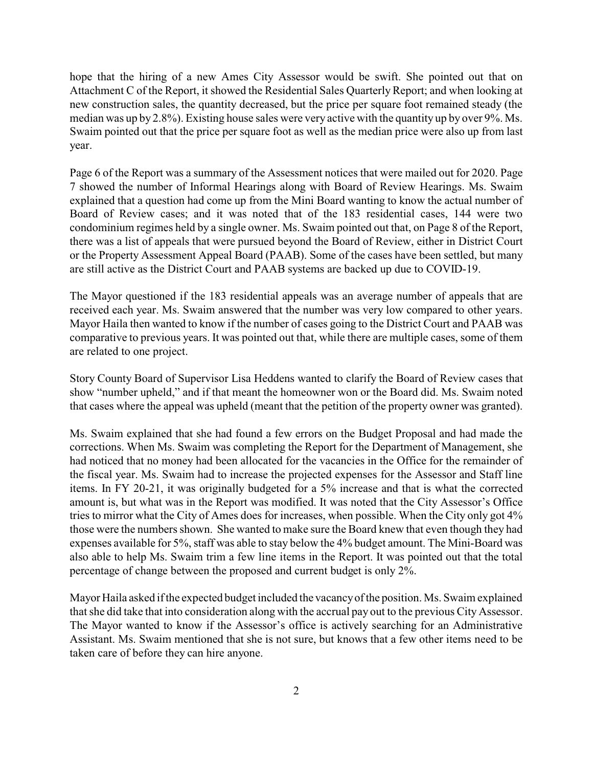hope that the hiring of a new Ames City Assessor would be swift. She pointed out that on Attachment C of the Report, it showed the Residential Sales QuarterlyReport; and when looking at new construction sales, the quantity decreased, but the price per square foot remained steady (the median was up by 2.8%). Existing house sales were very active with the quantity up by over 9%. Ms. Swaim pointed out that the price per square foot as well as the median price were also up from last year.

Page 6 of the Report was a summary of the Assessment notices that were mailed out for 2020. Page 7 showed the number of Informal Hearings along with Board of Review Hearings. Ms. Swaim explained that a question had come up from the Mini Board wanting to know the actual number of Board of Review cases; and it was noted that of the 183 residential cases, 144 were two condominium regimes held by a single owner. Ms. Swaim pointed out that, on Page 8 of the Report, there was a list of appeals that were pursued beyond the Board of Review, either in District Court or the Property Assessment Appeal Board (PAAB). Some of the cases have been settled, but many are still active as the District Court and PAAB systems are backed up due to COVID-19.

The Mayor questioned if the 183 residential appeals was an average number of appeals that are received each year. Ms. Swaim answered that the number was very low compared to other years. Mayor Haila then wanted to know if the number of cases going to the District Court and PAAB was comparative to previous years. It was pointed out that, while there are multiple cases, some of them are related to one project.

Story County Board of Supervisor Lisa Heddens wanted to clarify the Board of Review cases that show "number upheld," and if that meant the homeowner won or the Board did. Ms. Swaim noted that cases where the appeal was upheld (meant that the petition of the property owner was granted).

Ms. Swaim explained that she had found a few errors on the Budget Proposal and had made the corrections. When Ms. Swaim was completing the Report for the Department of Management, she had noticed that no money had been allocated for the vacancies in the Office for the remainder of the fiscal year. Ms. Swaim had to increase the projected expenses for the Assessor and Staff line items. In FY 20-21, it was originally budgeted for a 5% increase and that is what the corrected amount is, but what was in the Report was modified. It was noted that the City Assessor's Office tries to mirror what the City of Ames does for increases, when possible. When the City only got 4% those were the numbers shown. She wanted to make sure the Board knew that even though they had expenses available for 5%, staff was able to stay below the 4% budget amount. The Mini-Board was also able to help Ms. Swaim trim a few line items in the Report. It was pointed out that the total percentage of change between the proposed and current budget is only 2%.

Mayor Haila asked if the expected budget included the vacancyof the position. Ms. Swaim explained that she did take that into consideration along with the accrual pay out to the previous City Assessor. The Mayor wanted to know if the Assessor's office is actively searching for an Administrative Assistant. Ms. Swaim mentioned that she is not sure, but knows that a few other items need to be taken care of before they can hire anyone.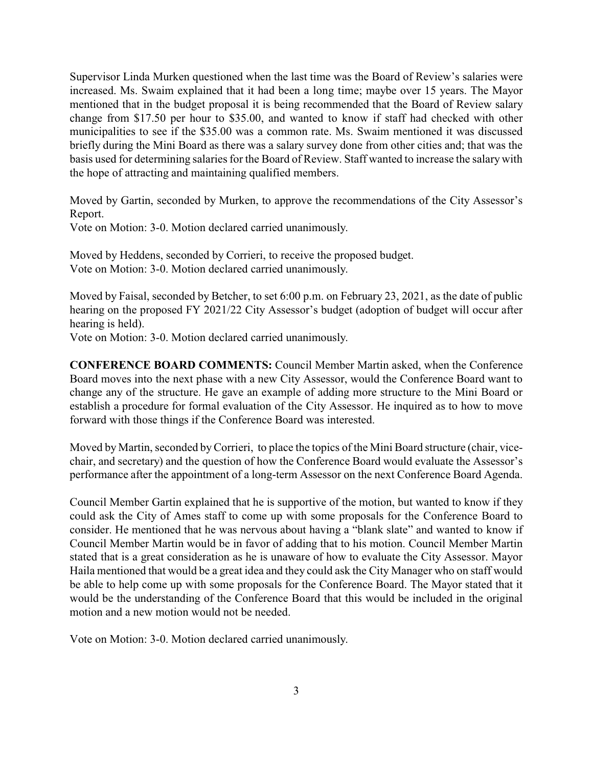Supervisor Linda Murken questioned when the last time was the Board of Review's salaries were increased. Ms. Swaim explained that it had been a long time; maybe over 15 years. The Mayor mentioned that in the budget proposal it is being recommended that the Board of Review salary change from \$17.50 per hour to \$35.00, and wanted to know if staff had checked with other municipalities to see if the \$35.00 was a common rate. Ms. Swaim mentioned it was discussed briefly during the Mini Board as there was a salary survey done from other cities and; that was the basis used for determining salaries for the Board of Review. Staff wanted to increase the salary with the hope of attracting and maintaining qualified members.

Moved by Gartin, seconded by Murken, to approve the recommendations of the City Assessor's Report.

Vote on Motion: 3-0. Motion declared carried unanimously.

Moved by Heddens, seconded by Corrieri, to receive the proposed budget. Vote on Motion: 3-0. Motion declared carried unanimously.

Moved by Faisal, seconded by Betcher, to set 6:00 p.m. on February 23, 2021, as the date of public hearing on the proposed FY 2021/22 City Assessor's budget (adoption of budget will occur after hearing is held).

Vote on Motion: 3-0. Motion declared carried unanimously.

**CONFERENCE BOARD COMMENTS:** Council Member Martin asked, when the Conference Board moves into the next phase with a new City Assessor, would the Conference Board want to change any of the structure. He gave an example of adding more structure to the Mini Board or establish a procedure for formal evaluation of the City Assessor. He inquired as to how to move forward with those things if the Conference Board was interested.

Moved by Martin, seconded byCorrieri, to place the topics of the Mini Board structure (chair, vicechair, and secretary) and the question of how the Conference Board would evaluate the Assessor's performance after the appointment of a long-term Assessor on the next Conference Board Agenda.

Council Member Gartin explained that he is supportive of the motion, but wanted to know if they could ask the City of Ames staff to come up with some proposals for the Conference Board to consider. He mentioned that he was nervous about having a "blank slate" and wanted to know if Council Member Martin would be in favor of adding that to his motion. Council Member Martin stated that is a great consideration as he is unaware of how to evaluate the City Assessor. Mayor Haila mentioned that would be a great idea and they could ask the City Manager who on staff would be able to help come up with some proposals for the Conference Board. The Mayor stated that it would be the understanding of the Conference Board that this would be included in the original motion and a new motion would not be needed.

Vote on Motion: 3-0. Motion declared carried unanimously.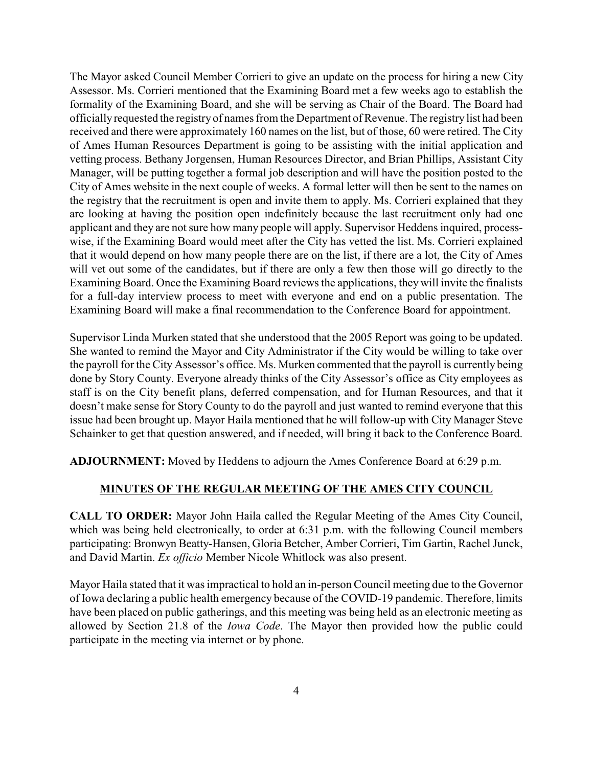The Mayor asked Council Member Corrieri to give an update on the process for hiring a new City Assessor. Ms. Corrieri mentioned that the Examining Board met a few weeks ago to establish the formality of the Examining Board, and she will be serving as Chair of the Board. The Board had officiallyrequested the registry of names from the Department of Revenue. The registry list had been received and there were approximately 160 names on the list, but of those, 60 were retired. The City of Ames Human Resources Department is going to be assisting with the initial application and vetting process. Bethany Jorgensen, Human Resources Director, and Brian Phillips, Assistant City Manager, will be putting together a formal job description and will have the position posted to the City of Ames website in the next couple of weeks. A formal letter will then be sent to the names on the registry that the recruitment is open and invite them to apply. Ms. Corrieri explained that they are looking at having the position open indefinitely because the last recruitment only had one applicant and they are not sure how many people will apply. Supervisor Heddens inquired, processwise, if the Examining Board would meet after the City has vetted the list. Ms. Corrieri explained that it would depend on how many people there are on the list, if there are a lot, the City of Ames will vet out some of the candidates, but if there are only a few then those will go directly to the Examining Board. Once the Examining Board reviews the applications, they will invite the finalists for a full-day interview process to meet with everyone and end on a public presentation. The Examining Board will make a final recommendation to the Conference Board for appointment.

Supervisor Linda Murken stated that she understood that the 2005 Report was going to be updated. She wanted to remind the Mayor and City Administrator if the City would be willing to take over the payroll for the City Assessor's office. Ms. Murken commented that the payroll is currently being done by Story County. Everyone already thinks of the City Assessor's office as City employees as staff is on the City benefit plans, deferred compensation, and for Human Resources, and that it doesn't make sense for Story County to do the payroll and just wanted to remind everyone that this issue had been brought up. Mayor Haila mentioned that he will follow-up with City Manager Steve Schainker to get that question answered, and if needed, will bring it back to the Conference Board.

**ADJOURNMENT:** Moved by Heddens to adjourn the Ames Conference Board at 6:29 p.m.

#### **MINUTES OF THE REGULAR MEETING OF THE AMES CITY COUNCIL**

**CALL TO ORDER:** Mayor John Haila called the Regular Meeting of the Ames City Council, which was being held electronically, to order at 6:31 p.m. with the following Council members participating: Bronwyn Beatty-Hansen, Gloria Betcher, Amber Corrieri, Tim Gartin, Rachel Junck, and David Martin. *Ex officio* Member Nicole Whitlock was also present.

Mayor Haila stated that it was impractical to hold an in-person Council meeting due to the Governor of Iowa declaring a public health emergency because of the COVID-19 pandemic. Therefore, limits have been placed on public gatherings, and this meeting was being held as an electronic meeting as allowed by Section 21.8 of the *Iowa Code*. The Mayor then provided how the public could participate in the meeting via internet or by phone.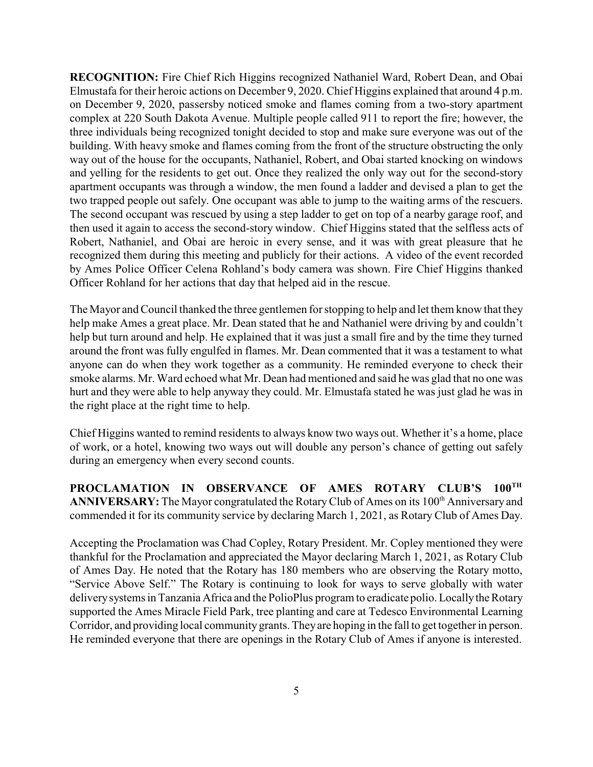**RECOGNITION:** Fire Chief Rich Higgins recognized Nathaniel Ward, Robert Dean, and Obai Elmustafa for their heroic actions on December 9, 2020. Chief Higgins explained that around 4 p.m. on December 9, 2020, passersby noticed smoke and flames coming from a two-story apartment complex at 220 South Dakota Avenue. Multiple people called 911 to report the fire; however, the three individuals being recognized tonight decided to stop and make sure everyone was out of the building. With heavy smoke and flames coming from the front of the structure obstructing the only way out of the house for the occupants, Nathaniel, Robert, and Obai started knocking on windows and yelling for the residents to get out. Once they realized the only way out for the second-story apartment occupants was through a window, the men found a ladder and devised a plan to get the two trapped people out safely. One occupant was able to jump to the waiting arms of the rescuers. The second occupant was rescued by using a step ladder to get on top of a nearby garage roof, and then used it again to access the second-story window. Chief Higgins stated that the selfless acts of Robert, Nathaniel, and Obai are heroic in every sense, and it was with great pleasure that he recognized them during this meeting and publicly for their actions. A video of the event recorded by Ames Police Officer Celena Rohland's body camera was shown. Fire Chief Higgins thanked Officer Rohland for her actions that day that helped aid in the rescue.

The Mayor and Council thanked the three gentlemen for stopping to help and let them know that they help make Ames a great place. Mr. Dean stated that he and Nathaniel were driving by and couldn't help but turn around and help. He explained that it was just a small fire and by the time they turned around the front was fully engulfed in flames. Mr. Dean commented that it was a testament to what anyone can do when they work together as a community. He reminded everyone to check their smoke alarms. Mr. Ward echoed what Mr. Dean had mentioned and said he was glad that no one was hurt and they were able to help anyway they could. Mr. Elmustafa stated he was just glad he was in the right place at the right time to help.

Chief Higgins wanted to remind residents to always know two ways out. Whether it's a home, place of work, or a hotel, knowing two ways out will double any person's chance of getting out safely during an emergency when every second counts.

**PROCLAMATION IN OBSERVANCE OF AMES ROTARY CLUB'S 100 TH** ANNIVERSARY: The Mayor congratulated the Rotary Club of Ames on its 100<sup>th</sup> Anniversary and commended it for its community service by declaring March 1, 2021, as Rotary Club of Ames Day.

Accepting the Proclamation was Chad Copley, Rotary President. Mr. Copley mentioned they were thankful for the Proclamation and appreciated the Mayor declaring March 1, 2021, as Rotary Club of Ames Day. He noted that the Rotary has 180 members who are observing the Rotary motto, "Service Above Self." The Rotary is continuing to look for ways to serve globally with water deliverysystems in Tanzania Africa and the PolioPlus program to eradicate polio. Locallythe Rotary supported the Ames Miracle Field Park, tree planting and care at Tedesco Environmental Learning Corridor, and providing local community grants. They are hoping in the fall to get together in person. He reminded everyone that there are openings in the Rotary Club of Ames if anyone is interested.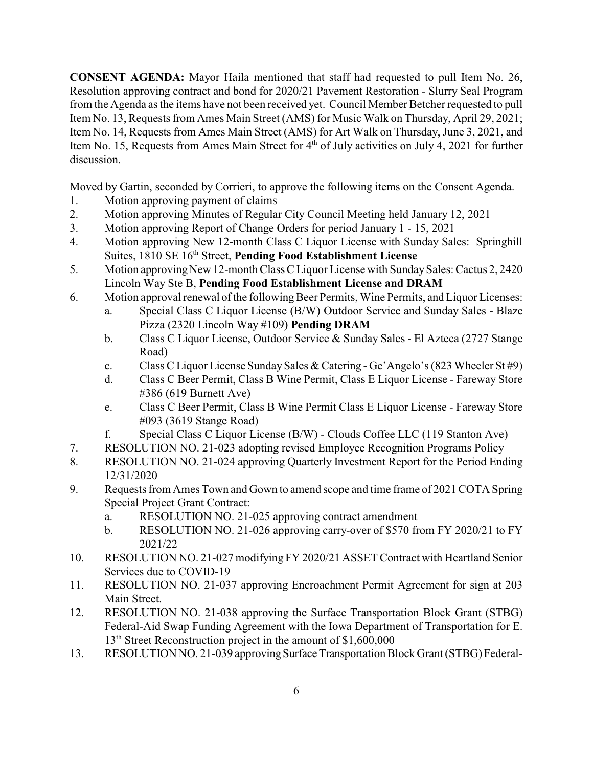**CONSENT AGENDA:** Mayor Haila mentioned that staff had requested to pull Item No. 26, Resolution approving contract and bond for 2020/21 Pavement Restoration - Slurry Seal Program from the Agenda as the items have not been received yet. Council Member Betcher requested to pull Item No. 13, Requests from Ames Main Street (AMS) for Music Walk on Thursday, April 29, 2021; Item No. 14, Requests from Ames Main Street (AMS) for Art Walk on Thursday, June 3, 2021, and Item No. 15, Requests from Ames Main Street for 4<sup>th</sup> of July activities on July 4, 2021 for further discussion.

Moved by Gartin, seconded by Corrieri, to approve the following items on the Consent Agenda.

- 1. Motion approving payment of claims
- 2. Motion approving Minutes of Regular City Council Meeting held January 12, 2021
- 3. Motion approving Report of Change Orders for period January 1 15, 2021
- 4. Motion approving New 12-month Class C Liquor License with Sunday Sales: Springhill Suites, 1810 SE 16<sup>th</sup> Street, **Pending Food Establishment License**
- 5. Motion approving New 12-month Class C Liquor License with Sunday Sales: Cactus 2, 2420 Lincoln Way Ste B, **Pending Food Establishment License and DRAM**
- 6. Motion approval renewal of the following Beer Permits, Wine Permits, and Liquor Licenses:
	- a. Special Class C Liquor License (B/W) Outdoor Service and Sunday Sales Blaze Pizza (2320 Lincoln Way #109) **Pending DRAM**
	- b. Class C Liquor License, Outdoor Service & Sunday Sales El Azteca (2727 Stange Road)
	- c. Class C Liquor License Sunday Sales & Catering Ge'Angelo's (823 Wheeler St #9)
	- d. Class C Beer Permit, Class B Wine Permit, Class E Liquor License Fareway Store #386 (619 Burnett Ave)
	- e. Class C Beer Permit, Class B Wine Permit Class E Liquor License Fareway Store #093 (3619 Stange Road)
	- f. Special Class C Liquor License (B/W) Clouds Coffee LLC (119 Stanton Ave)
- 7. RESOLUTION NO. 21-023 adopting revised Employee Recognition Programs Policy
- 8. RESOLUTION NO. 21-024 approving Quarterly Investment Report for the Period Ending 12/31/2020
- 9. Requests from Ames Town and Gown to amend scope and time frame of 2021 COTA Spring Special Project Grant Contract:
	- a. RESOLUTION NO. 21-025 approving contract amendment
	- b. RESOLUTION NO. 21-026 approving carry-over of \$570 from FY 2020/21 to FY 2021/22
- 10. RESOLUTION NO. 21-027 modifying FY 2020/21 ASSET Contract with Heartland Senior Services due to COVID-19
- 11. RESOLUTION NO. 21-037 approving Encroachment Permit Agreement for sign at 203 Main Street.
- 12. RESOLUTION NO. 21-038 approving the Surface Transportation Block Grant (STBG) Federal-Aid Swap Funding Agreement with the Iowa Department of Transportation for E. 13<sup>th</sup> Street Reconstruction project in the amount of \$1,600,000
- 13. RESOLUTION NO. 21-039 approving Surface Transportation Block Grant (STBG) Federal-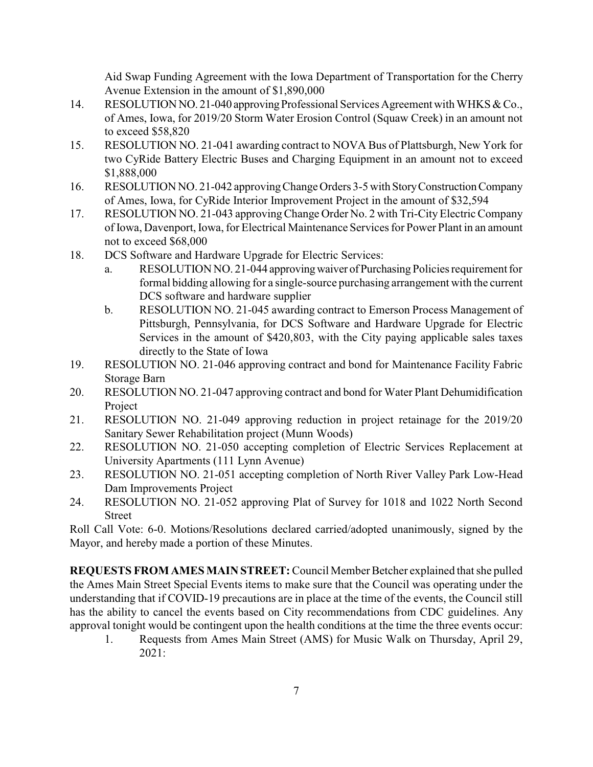Aid Swap Funding Agreement with the Iowa Department of Transportation for the Cherry Avenue Extension in the amount of \$1,890,000

- 14. RESOLUTION NO. 21-040 approving Professional Services Agreement with WHKS & Co., of Ames, Iowa, for 2019/20 Storm Water Erosion Control (Squaw Creek) in an amount not to exceed \$58,820
- 15. RESOLUTION NO. 21-041 awarding contract to NOVA Bus of Plattsburgh, New York for two CyRide Battery Electric Buses and Charging Equipment in an amount not to exceed \$1,888,000
- 16. RESOLUTION NO. 21-042 approvingChange Orders 3-5 with StoryConstructionCompany of Ames, Iowa, for CyRide Interior Improvement Project in the amount of \$32,594
- 17. RESOLUTION NO. 21-043 approvingChange Order No. 2 with Tri-CityElectric Company of Iowa, Davenport, Iowa, for Electrical Maintenance Services for Power Plant in an amount not to exceed \$68,000
- 18. DCS Software and Hardware Upgrade for Electric Services:
	- a. RESOLUTION NO. 21-044 approvingwaiver ofPurchasing Policies requirement for formal bidding allowing for a single-source purchasing arrangement with the current DCS software and hardware supplier
	- b. RESOLUTION NO. 21-045 awarding contract to Emerson Process Management of Pittsburgh, Pennsylvania, for DCS Software and Hardware Upgrade for Electric Services in the amount of \$420,803, with the City paying applicable sales taxes directly to the State of Iowa
- 19. RESOLUTION NO. 21-046 approving contract and bond for Maintenance Facility Fabric Storage Barn
- 20. RESOLUTION NO. 21-047 approving contract and bond for Water Plant Dehumidification Project
- 21. RESOLUTION NO. 21-049 approving reduction in project retainage for the 2019/20 Sanitary Sewer Rehabilitation project (Munn Woods)
- 22. RESOLUTION NO. 21-050 accepting completion of Electric Services Replacement at University Apartments (111 Lynn Avenue)
- 23. RESOLUTION NO. 21-051 accepting completion of North River Valley Park Low-Head Dam Improvements Project
- 24. RESOLUTION NO. 21-052 approving Plat of Survey for 1018 and 1022 North Second Street

Roll Call Vote: 6-0. Motions/Resolutions declared carried/adopted unanimously, signed by the Mayor, and hereby made a portion of these Minutes.

**REQUESTS FROM AMES MAIN STREET:** Council Member Betcher explained that she pulled the Ames Main Street Special Events items to make sure that the Council was operating under the understanding that if COVID-19 precautions are in place at the time of the events, the Council still has the ability to cancel the events based on City recommendations from CDC guidelines. Any approval tonight would be contingent upon the health conditions at the time the three events occur:

1. Requests from Ames Main Street (AMS) for Music Walk on Thursday, April 29, 2021: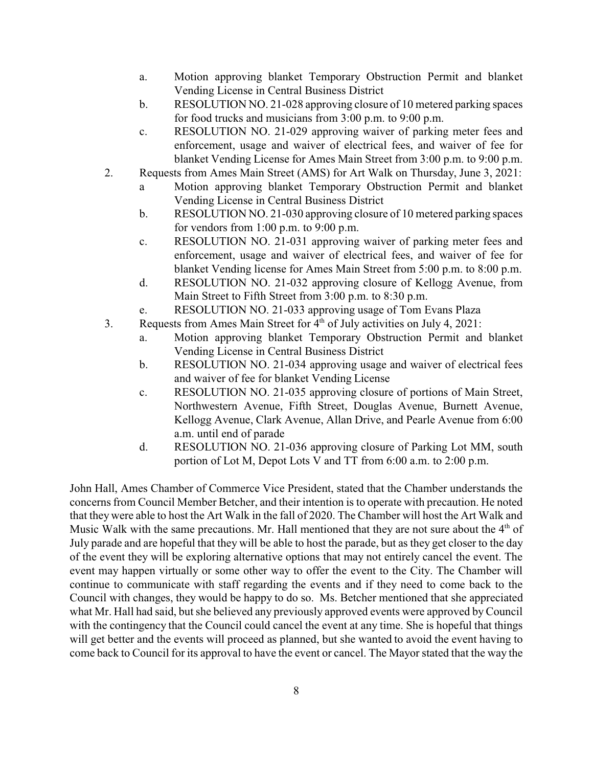- a. Motion approving blanket Temporary Obstruction Permit and blanket Vending License in Central Business District
- b. RESOLUTION NO. 21-028 approving closure of 10 metered parking spaces for food trucks and musicians from 3:00 p.m. to 9:00 p.m.
- c. RESOLUTION NO. 21-029 approving waiver of parking meter fees and enforcement, usage and waiver of electrical fees, and waiver of fee for blanket Vending License for Ames Main Street from 3:00 p.m. to 9:00 p.m.
- 2. Requests from Ames Main Street (AMS) for Art Walk on Thursday, June 3, 2021:
	- a Motion approving blanket Temporary Obstruction Permit and blanket Vending License in Central Business District
	- b. RESOLUTION NO. 21-030 approving closure of 10 metered parking spaces for vendors from 1:00 p.m. to 9:00 p.m.
	- c. RESOLUTION NO. 21-031 approving waiver of parking meter fees and enforcement, usage and waiver of electrical fees, and waiver of fee for blanket Vending license for Ames Main Street from 5:00 p.m. to 8:00 p.m.
	- d. RESOLUTION NO. 21-032 approving closure of Kellogg Avenue, from Main Street to Fifth Street from 3:00 p.m. to 8:30 p.m.
	- e. RESOLUTION NO. 21-033 approving usage of Tom Evans Plaza
- 3. Requests from Ames Main Street for  $4<sup>th</sup>$  of July activities on July 4, 2021:
	- a. Motion approving blanket Temporary Obstruction Permit and blanket Vending License in Central Business District
	- b. RESOLUTION NO. 21-034 approving usage and waiver of electrical fees and waiver of fee for blanket Vending License
	- c. RESOLUTION NO. 21-035 approving closure of portions of Main Street, Northwestern Avenue, Fifth Street, Douglas Avenue, Burnett Avenue, Kellogg Avenue, Clark Avenue, Allan Drive, and Pearle Avenue from 6:00 a.m. until end of parade
	- d. RESOLUTION NO. 21-036 approving closure of Parking Lot MM, south portion of Lot M, Depot Lots V and TT from 6:00 a.m. to 2:00 p.m.

John Hall, Ames Chamber of Commerce Vice President, stated that the Chamber understands the concerns from Council Member Betcher, and their intention is to operate with precaution. He noted that they were able to host the Art Walk in the fall of 2020. The Chamber will host the Art Walk and Music Walk with the same precautions. Mr. Hall mentioned that they are not sure about the  $4<sup>th</sup>$  of July parade and are hopeful that they will be able to host the parade, but as they get closer to the day of the event they will be exploring alternative options that may not entirely cancel the event. The event may happen virtually or some other way to offer the event to the City. The Chamber will continue to communicate with staff regarding the events and if they need to come back to the Council with changes, they would be happy to do so. Ms. Betcher mentioned that she appreciated what Mr. Hall had said, but she believed any previously approved events were approved by Council with the contingency that the Council could cancel the event at any time. She is hopeful that things will get better and the events will proceed as planned, but she wanted to avoid the event having to come back to Council for its approval to have the event or cancel. The Mayor stated that the way the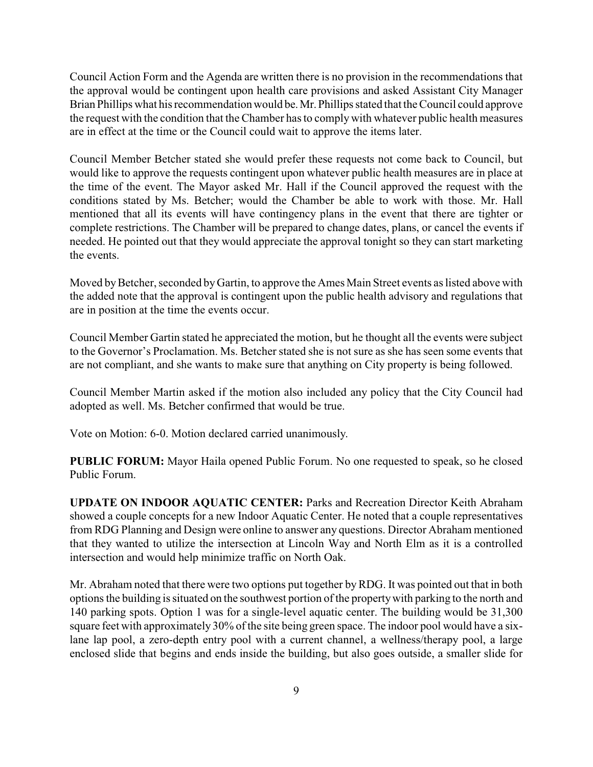Council Action Form and the Agenda are written there is no provision in the recommendations that the approval would be contingent upon health care provisions and asked Assistant City Manager Brian Phillips what his recommendation would be.Mr. Phillips stated that the Council could approve the request with the condition that the Chamber has to comply with whatever public health measures are in effect at the time or the Council could wait to approve the items later.

Council Member Betcher stated she would prefer these requests not come back to Council, but would like to approve the requests contingent upon whatever public health measures are in place at the time of the event. The Mayor asked Mr. Hall if the Council approved the request with the conditions stated by Ms. Betcher; would the Chamber be able to work with those. Mr. Hall mentioned that all its events will have contingency plans in the event that there are tighter or complete restrictions. The Chamber will be prepared to change dates, plans, or cancel the events if needed. He pointed out that they would appreciate the approval tonight so they can start marketing the events.

Moved by Betcher, seconded by Gartin, to approve the Ames Main Street events as listed above with the added note that the approval is contingent upon the public health advisory and regulations that are in position at the time the events occur.

Council Member Gartin stated he appreciated the motion, but he thought all the events were subject to the Governor's Proclamation. Ms. Betcher stated she is not sure as she has seen some events that are not compliant, and she wants to make sure that anything on City property is being followed.

Council Member Martin asked if the motion also included any policy that the City Council had adopted as well. Ms. Betcher confirmed that would be true.

Vote on Motion: 6-0. Motion declared carried unanimously.

**PUBLIC FORUM:** Mayor Haila opened Public Forum. No one requested to speak, so he closed Public Forum.

**UPDATE ON INDOOR AQUATIC CENTER:** Parks and Recreation Director Keith Abraham showed a couple concepts for a new Indoor Aquatic Center. He noted that a couple representatives from RDG Planning and Design were online to answer any questions. Director Abraham mentioned that they wanted to utilize the intersection at Lincoln Way and North Elm as it is a controlled intersection and would help minimize traffic on North Oak.

Mr. Abraham noted that there were two options put together byRDG. It was pointed out that in both options the building is situated on the southwest portion of the propertywith parking to the north and 140 parking spots. Option 1 was for a single-level aquatic center. The building would be 31,300 square feet with approximately 30% of the site being green space. The indoor pool would have a sixlane lap pool, a zero-depth entry pool with a current channel, a wellness/therapy pool, a large enclosed slide that begins and ends inside the building, but also goes outside, a smaller slide for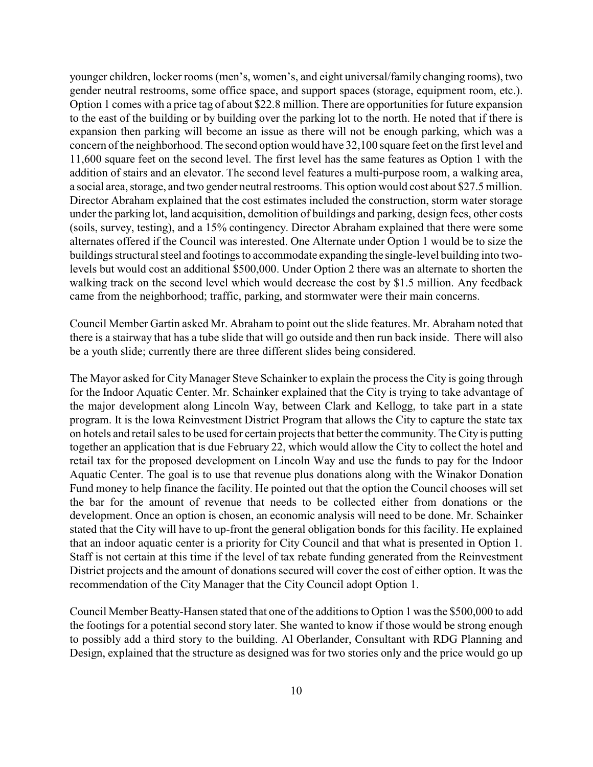younger children, locker rooms (men's, women's, and eight universal/family changing rooms), two gender neutral restrooms, some office space, and support spaces (storage, equipment room, etc.). Option 1 comes with a price tag of about \$22.8 million. There are opportunities for future expansion to the east of the building or by building over the parking lot to the north. He noted that if there is expansion then parking will become an issue as there will not be enough parking, which was a concern of the neighborhood. The second option would have 32,100 square feet on the first level and 11,600 square feet on the second level. The first level has the same features as Option 1 with the addition of stairs and an elevator. The second level features a multi-purpose room, a walking area, a social area, storage, and two gender neutral restrooms. This option would cost about \$27.5 million. Director Abraham explained that the cost estimates included the construction, storm water storage under the parking lot, land acquisition, demolition of buildings and parking, design fees, other costs (soils, survey, testing), and a 15% contingency. Director Abraham explained that there were some alternates offered if the Council was interested. One Alternate under Option 1 would be to size the buildings structural steel and footings to accommodate expanding the single-level building into twolevels but would cost an additional \$500,000. Under Option 2 there was an alternate to shorten the walking track on the second level which would decrease the cost by \$1.5 million. Any feedback came from the neighborhood; traffic, parking, and stormwater were their main concerns.

Council Member Gartin asked Mr. Abraham to point out the slide features. Mr. Abraham noted that there is a stairway that has a tube slide that will go outside and then run back inside. There will also be a youth slide; currently there are three different slides being considered.

The Mayor asked for City Manager Steve Schainker to explain the process the City is going through for the Indoor Aquatic Center. Mr. Schainker explained that the City is trying to take advantage of the major development along Lincoln Way, between Clark and Kellogg, to take part in a state program. It is the Iowa Reinvestment District Program that allows the City to capture the state tax on hotels and retail sales to be used for certain projects that better the community. The City is putting together an application that is due February 22, which would allow the City to collect the hotel and retail tax for the proposed development on Lincoln Way and use the funds to pay for the Indoor Aquatic Center. The goal is to use that revenue plus donations along with the Winakor Donation Fund money to help finance the facility. He pointed out that the option the Council chooses will set the bar for the amount of revenue that needs to be collected either from donations or the development. Once an option is chosen, an economic analysis will need to be done. Mr. Schainker stated that the City will have to up-front the general obligation bonds for this facility. He explained that an indoor aquatic center is a priority for City Council and that what is presented in Option 1. Staff is not certain at this time if the level of tax rebate funding generated from the Reinvestment District projects and the amount of donations secured will cover the cost of either option. It was the recommendation of the City Manager that the City Council adopt Option 1.

Council Member Beatty-Hansen stated that one of the additions to Option 1 was the \$500,000 to add the footings for a potential second story later. She wanted to know if those would be strong enough to possibly add a third story to the building. Al Oberlander, Consultant with RDG Planning and Design, explained that the structure as designed was for two stories only and the price would go up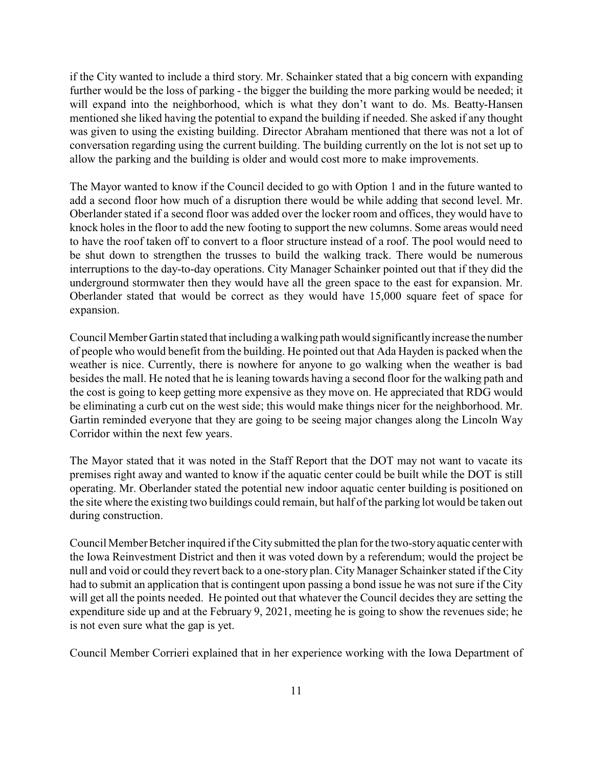if the City wanted to include a third story. Mr. Schainker stated that a big concern with expanding further would be the loss of parking - the bigger the building the more parking would be needed; it will expand into the neighborhood, which is what they don't want to do. Ms. Beatty-Hansen mentioned she liked having the potential to expand the building if needed. She asked if any thought was given to using the existing building. Director Abraham mentioned that there was not a lot of conversation regarding using the current building. The building currently on the lot is not set up to allow the parking and the building is older and would cost more to make improvements.

The Mayor wanted to know if the Council decided to go with Option 1 and in the future wanted to add a second floor how much of a disruption there would be while adding that second level. Mr. Oberlander stated if a second floor was added over the locker room and offices, they would have to knock holes in the floor to add the new footing to support the new columns. Some areas would need to have the roof taken off to convert to a floor structure instead of a roof. The pool would need to be shut down to strengthen the trusses to build the walking track. There would be numerous interruptions to the day-to-day operations. City Manager Schainker pointed out that if they did the underground stormwater then they would have all the green space to the east for expansion. Mr. Oberlander stated that would be correct as they would have 15,000 square feet of space for expansion.

Council Member Gartin stated that including a walking path would significantlyincrease the number of people who would benefit from the building. He pointed out that Ada Hayden is packed when the weather is nice. Currently, there is nowhere for anyone to go walking when the weather is bad besides the mall. He noted that he is leaning towards having a second floor for the walking path and the cost is going to keep getting more expensive as they move on. He appreciated that RDG would be eliminating a curb cut on the west side; this would make things nicer for the neighborhood. Mr. Gartin reminded everyone that they are going to be seeing major changes along the Lincoln Way Corridor within the next few years.

The Mayor stated that it was noted in the Staff Report that the DOT may not want to vacate its premises right away and wanted to know if the aquatic center could be built while the DOT is still operating. Mr. Oberlander stated the potential new indoor aquatic center building is positioned on the site where the existing two buildings could remain, but half of the parking lot would be taken out during construction.

Council Member Betcher inquired if the City submitted the plan for the two-storyaquatic center with the Iowa Reinvestment District and then it was voted down by a referendum; would the project be null and void or could they revert back to a one-story plan. City Manager Schainker stated if the City had to submit an application that is contingent upon passing a bond issue he was not sure if the City will get all the points needed. He pointed out that whatever the Council decides they are setting the expenditure side up and at the February 9, 2021, meeting he is going to show the revenues side; he is not even sure what the gap is yet.

Council Member Corrieri explained that in her experience working with the Iowa Department of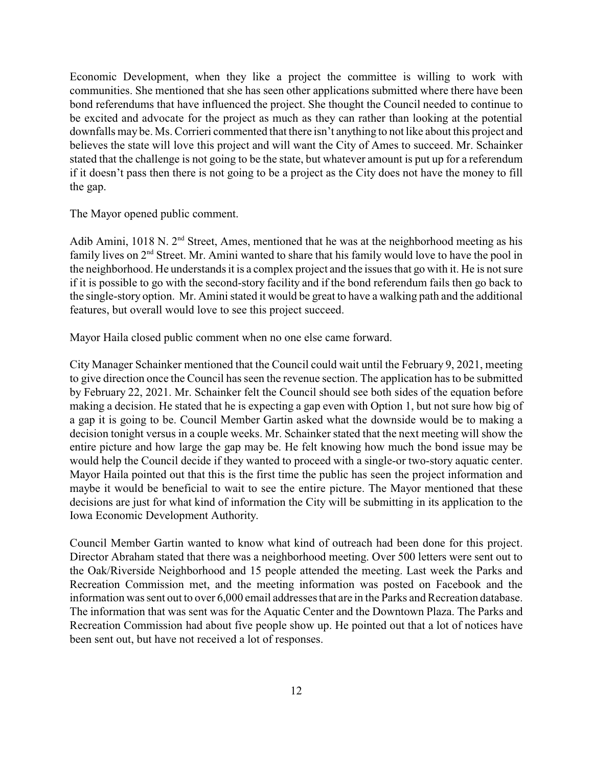Economic Development, when they like a project the committee is willing to work with communities. She mentioned that she has seen other applications submitted where there have been bond referendums that have influenced the project. She thought the Council needed to continue to be excited and advocate for the project as much as they can rather than looking at the potential downfalls may be. Ms. Corrieri commented that there isn't anything to not like about this project and believes the state will love this project and will want the City of Ames to succeed. Mr. Schainker stated that the challenge is not going to be the state, but whatever amount is put up for a referendum if it doesn't pass then there is not going to be a project as the City does not have the money to fill the gap.

The Mayor opened public comment.

Adib Amini, 1018 N.  $2<sup>nd</sup>$  Street, Ames, mentioned that he was at the neighborhood meeting as his family lives on 2<sup>nd</sup> Street. Mr. Amini wanted to share that his family would love to have the pool in the neighborhood. He understands it is a complex project and the issues that go with it. He is not sure if it is possible to go with the second-story facility and if the bond referendum fails then go back to the single-story option. Mr. Amini stated it would be great to have a walking path and the additional features, but overall would love to see this project succeed.

Mayor Haila closed public comment when no one else came forward.

City Manager Schainker mentioned that the Council could wait until the February 9, 2021, meeting to give direction once the Council has seen the revenue section. The application has to be submitted by February 22, 2021. Mr. Schainker felt the Council should see both sides of the equation before making a decision. He stated that he is expecting a gap even with Option 1, but not sure how big of a gap it is going to be. Council Member Gartin asked what the downside would be to making a decision tonight versus in a couple weeks. Mr. Schainker stated that the next meeting will show the entire picture and how large the gap may be. He felt knowing how much the bond issue may be would help the Council decide if they wanted to proceed with a single-or two-story aquatic center. Mayor Haila pointed out that this is the first time the public has seen the project information and maybe it would be beneficial to wait to see the entire picture. The Mayor mentioned that these decisions are just for what kind of information the City will be submitting in its application to the Iowa Economic Development Authority.

Council Member Gartin wanted to know what kind of outreach had been done for this project. Director Abraham stated that there was a neighborhood meeting. Over 500 letters were sent out to the Oak/Riverside Neighborhood and 15 people attended the meeting. Last week the Parks and Recreation Commission met, and the meeting information was posted on Facebook and the information was sent out to over 6,000 email addresses that are in the Parks and Recreation database. The information that was sent was for the Aquatic Center and the Downtown Plaza. The Parks and Recreation Commission had about five people show up. He pointed out that a lot of notices have been sent out, but have not received a lot of responses.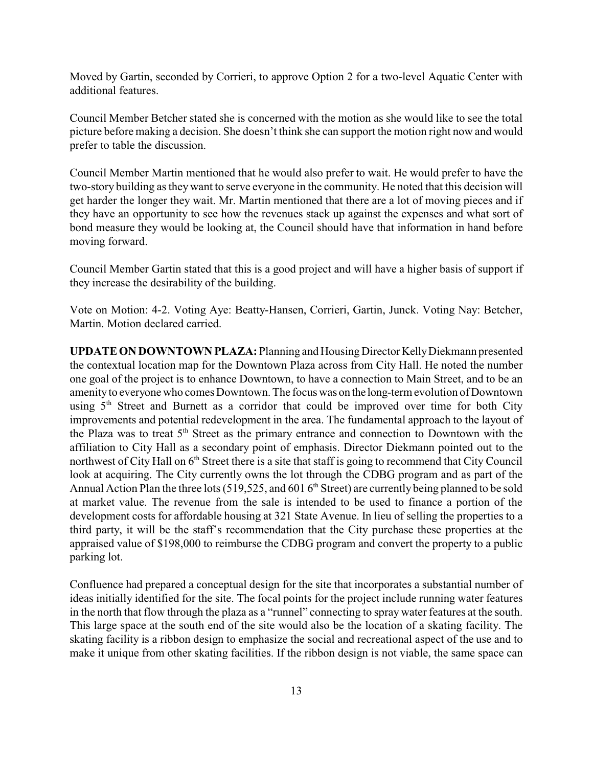Moved by Gartin, seconded by Corrieri, to approve Option 2 for a two-level Aquatic Center with additional features.

Council Member Betcher stated she is concerned with the motion as she would like to see the total picture before making a decision. She doesn't think she can support the motion right now and would prefer to table the discussion.

Council Member Martin mentioned that he would also prefer to wait. He would prefer to have the two-story building as they want to serve everyone in the community. He noted that this decision will get harder the longer they wait. Mr. Martin mentioned that there are a lot of moving pieces and if they have an opportunity to see how the revenues stack up against the expenses and what sort of bond measure they would be looking at, the Council should have that information in hand before moving forward.

Council Member Gartin stated that this is a good project and will have a higher basis of support if they increase the desirability of the building.

Vote on Motion: 4-2. Voting Aye: Beatty-Hansen, Corrieri, Gartin, Junck. Voting Nay: Betcher, Martin. Motion declared carried.

**UPDATE ON DOWNTOWN PLAZA:** Planning and HousingDirector KellyDiekmann presented the contextual location map for the Downtown Plaza across from City Hall. He noted the number one goal of the project is to enhance Downtown, to have a connection to Main Street, and to be an amenityto everyone who comes Downtown. The focus was on the long-term evolution of Downtown using 5<sup>th</sup> Street and Burnett as a corridor that could be improved over time for both City improvements and potential redevelopment in the area. The fundamental approach to the layout of the Plaza was to treat  $5<sup>th</sup>$  Street as the primary entrance and connection to Downtown with the affiliation to City Hall as a secondary point of emphasis. Director Diekmann pointed out to the northwest of City Hall on 6<sup>th</sup> Street there is a site that staff is going to recommend that City Council look at acquiring. The City currently owns the lot through the CDBG program and as part of the Annual Action Plan the three lots (519,525, and 601 6<sup>th</sup> Street) are currently being planned to be sold at market value. The revenue from the sale is intended to be used to finance a portion of the development costs for affordable housing at 321 State Avenue. In lieu of selling the properties to a third party, it will be the staff's recommendation that the City purchase these properties at the appraised value of \$198,000 to reimburse the CDBG program and convert the property to a public parking lot.

Confluence had prepared a conceptual design for the site that incorporates a substantial number of ideas initially identified for the site. The focal points for the project include running water features in the north that flow through the plaza as a "runnel" connecting to spray water features at the south. This large space at the south end of the site would also be the location of a skating facility. The skating facility is a ribbon design to emphasize the social and recreational aspect of the use and to make it unique from other skating facilities. If the ribbon design is not viable, the same space can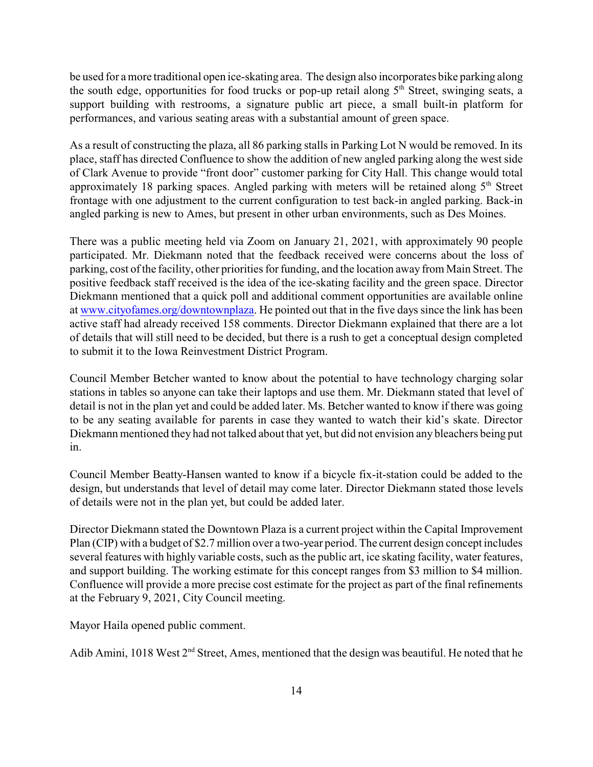be used for a more traditional open ice-skating area. The design also incorporates bike parking along the south edge, opportunities for food trucks or pop-up retail along 5<sup>th</sup> Street, swinging seats, a support building with restrooms, a signature public art piece, a small built-in platform for performances, and various seating areas with a substantial amount of green space.

As a result of constructing the plaza, all 86 parking stalls in Parking Lot N would be removed. In its place, staff has directed Confluence to show the addition of new angled parking along the west side of Clark Avenue to provide "front door" customer parking for City Hall. This change would total approximately 18 parking spaces. Angled parking with meters will be retained along 5<sup>th</sup> Street frontage with one adjustment to the current configuration to test back-in angled parking. Back-in angled parking is new to Ames, but present in other urban environments, such as Des Moines.

There was a public meeting held via Zoom on January 21, 2021, with approximately 90 people participated. Mr. Diekmann noted that the feedback received were concerns about the loss of parking, cost of the facility, other priorities for funding, and the location away from Main Street. The positive feedback staff received is the idea of the ice-skating facility and the green space. Director Diekmann mentioned that a quick poll and additional comment opportunities are available online at [www.cityofames.org/downtownplaza](http://www.cityofames.org/downtownplaza). He pointed out that in the five days since the link has been active staff had already received 158 comments. Director Diekmann explained that there are a lot of details that will still need to be decided, but there is a rush to get a conceptual design completed to submit it to the Iowa Reinvestment District Program.

Council Member Betcher wanted to know about the potential to have technology charging solar stations in tables so anyone can take their laptops and use them. Mr. Diekmann stated that level of detail is not in the plan yet and could be added later. Ms. Betcher wanted to know if there was going to be any seating available for parents in case they wanted to watch their kid's skate. Director Diekmann mentioned they had not talked about that yet, but did not envision any bleachers being put in.

Council Member Beatty-Hansen wanted to know if a bicycle fix-it-station could be added to the design, but understands that level of detail may come later. Director Diekmann stated those levels of details were not in the plan yet, but could be added later.

Director Diekmann stated the Downtown Plaza is a current project within the Capital Improvement Plan (CIP) with a budget of \$2.7 million over a two-year period. The current design concept includes several features with highly variable costs, such as the public art, ice skating facility, water features, and support building. The working estimate for this concept ranges from \$3 million to \$4 million. Confluence will provide a more precise cost estimate for the project as part of the final refinements at the February 9, 2021, City Council meeting.

Mayor Haila opened public comment.

Adib Amini, 1018 West  $2<sup>nd</sup>$  Street, Ames, mentioned that the design was beautiful. He noted that he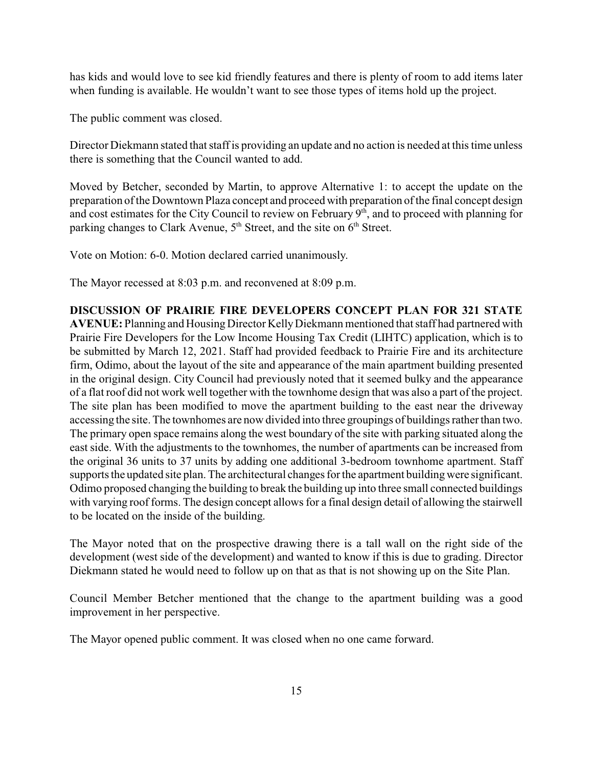has kids and would love to see kid friendly features and there is plenty of room to add items later when funding is available. He wouldn't want to see those types of items hold up the project.

The public comment was closed.

Director Diekmann stated that staff is providing an update and no action is needed at this time unless there is something that the Council wanted to add.

Moved by Betcher, seconded by Martin, to approve Alternative 1: to accept the update on the preparation of the Downtown Plaza concept and proceed with preparation of the final concept design and cost estimates for the City Council to review on February 9<sup>th</sup>, and to proceed with planning for parking changes to Clark Avenue, 5<sup>th</sup> Street, and the site on 6<sup>th</sup> Street.

Vote on Motion: 6-0. Motion declared carried unanimously.

The Mayor recessed at 8:03 p.m. and reconvened at 8:09 p.m.

**DISCUSSION OF PRAIRIE FIRE DEVELOPERS CONCEPT PLAN FOR 321 STATE AVENUE:** Planning and Housing Director KellyDiekmann mentioned that staff had partnered with Prairie Fire Developers for the Low Income Housing Tax Credit (LIHTC) application, which is to be submitted by March 12, 2021. Staff had provided feedback to Prairie Fire and its architecture firm, Odimo, about the layout of the site and appearance of the main apartment building presented in the original design. City Council had previously noted that it seemed bulky and the appearance of a flat roof did not work well together with the townhome design that was also a part of the project. The site plan has been modified to move the apartment building to the east near the driveway accessing the site. The townhomes are now divided into three groupings of buildings rather than two. The primary open space remains along the west boundary of the site with parking situated along the east side. With the adjustments to the townhomes, the number of apartments can be increased from the original 36 units to 37 units by adding one additional 3-bedroom townhome apartment. Staff supports the updated site plan. The architectural changes for the apartment building were significant. Odimo proposed changing the building to break the building up into three small connected buildings with varying roof forms. The design concept allows for a final design detail of allowing the stairwell to be located on the inside of the building.

The Mayor noted that on the prospective drawing there is a tall wall on the right side of the development (west side of the development) and wanted to know if this is due to grading. Director Diekmann stated he would need to follow up on that as that is not showing up on the Site Plan.

Council Member Betcher mentioned that the change to the apartment building was a good improvement in her perspective.

The Mayor opened public comment. It was closed when no one came forward.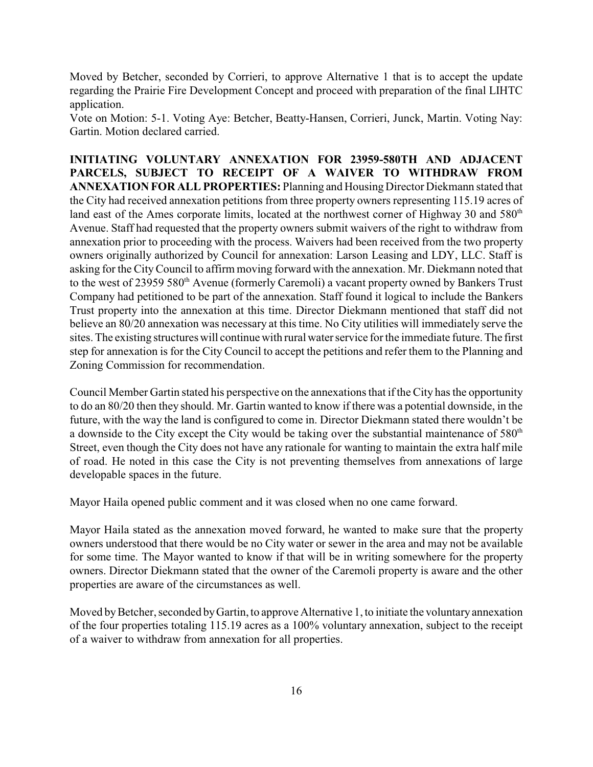Moved by Betcher, seconded by Corrieri, to approve Alternative 1 that is to accept the update regarding the Prairie Fire Development Concept and proceed with preparation of the final LIHTC application.

Vote on Motion: 5-1. Voting Aye: Betcher, Beatty-Hansen, Corrieri, Junck, Martin. Voting Nay: Gartin. Motion declared carried.

**INITIATING VOLUNTARY ANNEXATION FOR 23959-580TH AND ADJACENT PARCELS, SUBJECT TO RECEIPT OF A WAIVER TO WITHDRAW FROM ANNEXATION FOR ALL PROPERTIES:** Planning and Housing Director Diekmann stated that the City had received annexation petitions from three property owners representing 115.19 acres of land east of the Ames corporate limits, located at the northwest corner of Highway 30 and 580<sup>th</sup> Avenue. Staff had requested that the property owners submit waivers of the right to withdraw from annexation prior to proceeding with the process. Waivers had been received from the two property owners originally authorized by Council for annexation: Larson Leasing and LDY, LLC. Staff is asking for the CityCouncil to affirm moving forward with the annexation. Mr. Diekmann noted that to the west of 23959 580<sup>th</sup> Avenue (formerly Caremoli) a vacant property owned by Bankers Trust Company had petitioned to be part of the annexation. Staff found it logical to include the Bankers Trust property into the annexation at this time. Director Diekmann mentioned that staff did not believe an 80/20 annexation was necessary at this time. No City utilities will immediately serve the sites. The existing structures will continue with rural water service for the immediate future. The first step for annexation is for the City Council to accept the petitions and refer them to the Planning and Zoning Commission for recommendation.

Council Member Gartin stated his perspective on the annexations that if the City has the opportunity to do an 80/20 then they should. Mr. Gartin wanted to know if there was a potential downside, in the future, with the way the land is configured to come in. Director Diekmann stated there wouldn't be a downside to the City except the City would be taking over the substantial maintenance of 580<sup>th</sup> Street, even though the City does not have any rationale for wanting to maintain the extra half mile of road. He noted in this case the City is not preventing themselves from annexations of large developable spaces in the future.

Mayor Haila opened public comment and it was closed when no one came forward.

Mayor Haila stated as the annexation moved forward, he wanted to make sure that the property owners understood that there would be no City water or sewer in the area and may not be available for some time. The Mayor wanted to know if that will be in writing somewhere for the property owners. Director Diekmann stated that the owner of the Caremoli property is aware and the other properties are aware of the circumstances as well.

Moved by Betcher, seconded by Gartin, to approve Alternative 1, to initiate the voluntary annexation of the four properties totaling 115.19 acres as a 100% voluntary annexation, subject to the receipt of a waiver to withdraw from annexation for all properties.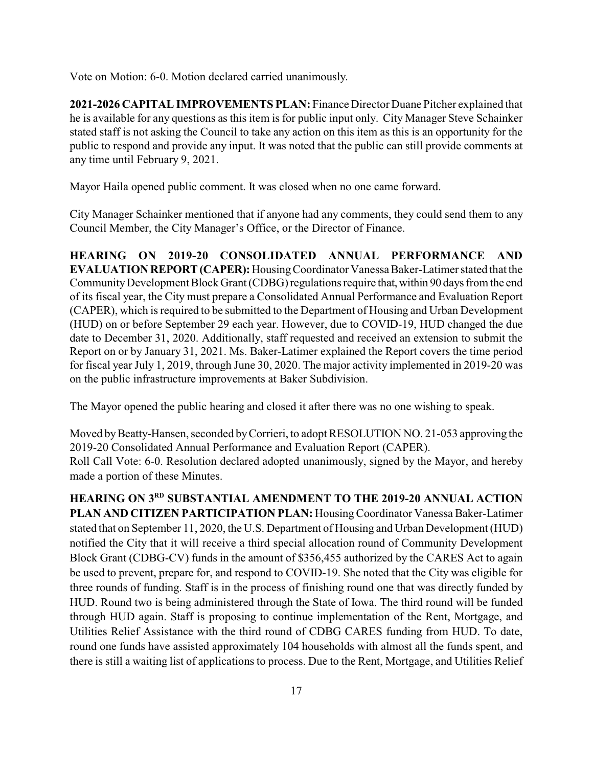Vote on Motion: 6-0. Motion declared carried unanimously.

**2021-2026 CAPITAL IMPROVEMENTS PLAN:** Finance Director Duane Pitcher explained that he is available for any questions as this item is for public input only. City Manager Steve Schainker stated staff is not asking the Council to take any action on this item as this is an opportunity for the public to respond and provide any input. It was noted that the public can still provide comments at any time until February 9, 2021.

Mayor Haila opened public comment. It was closed when no one came forward.

City Manager Schainker mentioned that if anyone had any comments, they could send them to any Council Member, the City Manager's Office, or the Director of Finance.

**HEARING ON 2019-20 CONSOLIDATED ANNUAL PERFORMANCE AND EVALUATION REPORT(CAPER):** HousingCoordinator Vanessa Baker-Latimer stated that the CommunityDevelopment Block Grant (CDBG) regulations require that,within 90 days from the end of its fiscal year, the City must prepare a Consolidated Annual Performance and Evaluation Report (CAPER), which is required to be submitted to the Department of Housing and Urban Development (HUD) on or before September 29 each year. However, due to COVID-19, HUD changed the due date to December 31, 2020. Additionally, staff requested and received an extension to submit the Report on or by January 31, 2021. Ms. Baker-Latimer explained the Report covers the time period for fiscal year July 1, 2019, through June 30, 2020. The major activity implemented in 2019-20 was on the public infrastructure improvements at Baker Subdivision.

The Mayor opened the public hearing and closed it after there was no one wishing to speak.

Moved by Beatty-Hansen, seconded by Corrieri, to adopt RESOLUTION NO. 21-053 approving the 2019-20 Consolidated Annual Performance and Evaluation Report (CAPER). Roll Call Vote: 6-0. Resolution declared adopted unanimously, signed by the Mayor, and hereby made a portion of these Minutes.

**HEARING ON 3 RD SUBSTANTIAL AMENDMENT TO THE 2019-20 ANNUAL ACTION** PLAN AND CITIZEN PARTICIPATION PLAN: Housing Coordinator Vanessa Baker-Latimer stated that on September 11, 2020, the U.S. Department of Housing and Urban Development (HUD) notified the City that it will receive a third special allocation round of Community Development Block Grant (CDBG-CV) funds in the amount of \$356,455 authorized by the CARES Act to again be used to prevent, prepare for, and respond to COVID-19. She noted that the City was eligible for three rounds of funding. Staff is in the process of finishing round one that was directly funded by HUD. Round two is being administered through the State of Iowa. The third round will be funded through HUD again. Staff is proposing to continue implementation of the Rent, Mortgage, and Utilities Relief Assistance with the third round of CDBG CARES funding from HUD. To date, round one funds have assisted approximately 104 households with almost all the funds spent, and there is still a waiting list of applications to process. Due to the Rent, Mortgage, and Utilities Relief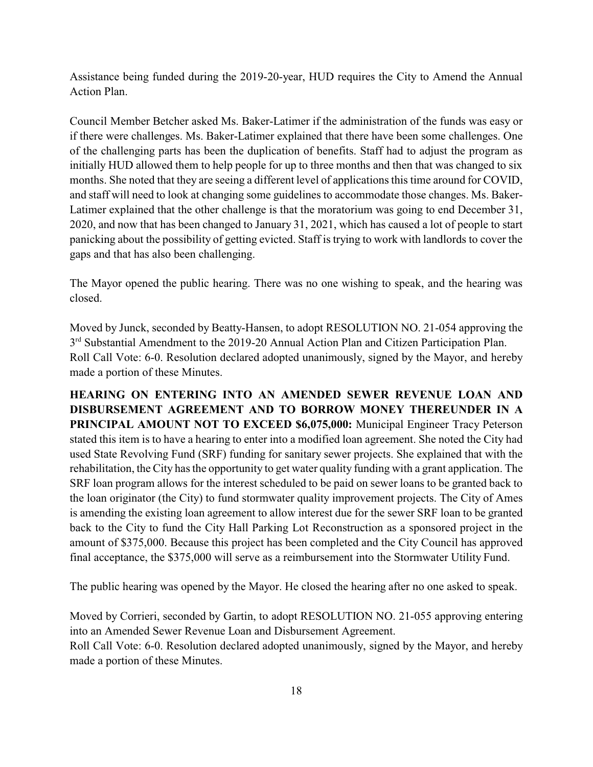Assistance being funded during the 2019-20-year, HUD requires the City to Amend the Annual Action Plan.

Council Member Betcher asked Ms. Baker-Latimer if the administration of the funds was easy or if there were challenges. Ms. Baker-Latimer explained that there have been some challenges. One of the challenging parts has been the duplication of benefits. Staff had to adjust the program as initially HUD allowed them to help people for up to three months and then that was changed to six months. She noted that they are seeing a different level of applications this time around for COVID, and staff will need to look at changing some guidelines to accommodate those changes. Ms. Baker-Latimer explained that the other challenge is that the moratorium was going to end December 31, 2020, and now that has been changed to January 31, 2021, which has caused a lot of people to start panicking about the possibility of getting evicted. Staff is trying to work with landlords to cover the gaps and that has also been challenging.

The Mayor opened the public hearing. There was no one wishing to speak, and the hearing was closed.

Moved by Junck, seconded by Beatty-Hansen, to adopt RESOLUTION NO. 21-054 approving the 3<sup>rd</sup> Substantial Amendment to the 2019-20 Annual Action Plan and Citizen Participation Plan. Roll Call Vote: 6-0. Resolution declared adopted unanimously, signed by the Mayor, and hereby made a portion of these Minutes.

**HEARING ON ENTERING INTO AN AMENDED SEWER REVENUE LOAN AND DISBURSEMENT AGREEMENT AND TO BORROW MONEY THEREUNDER IN A PRINCIPAL AMOUNT NOT TO EXCEED \$6,075,000:** Municipal Engineer Tracy Peterson stated this item is to have a hearing to enter into a modified loan agreement. She noted the City had used State Revolving Fund (SRF) funding for sanitary sewer projects. She explained that with the rehabilitation, the City has the opportunity to get water quality funding with a grant application. The SRF loan program allows for the interest scheduled to be paid on sewer loans to be granted back to the loan originator (the City) to fund stormwater quality improvement projects. The City of Ames is amending the existing loan agreement to allow interest due for the sewer SRF loan to be granted back to the City to fund the City Hall Parking Lot Reconstruction as a sponsored project in the amount of \$375,000. Because this project has been completed and the City Council has approved final acceptance, the \$375,000 will serve as a reimbursement into the Stormwater Utility Fund.

The public hearing was opened by the Mayor. He closed the hearing after no one asked to speak.

Moved by Corrieri, seconded by Gartin, to adopt RESOLUTION NO. 21-055 approving entering into an Amended Sewer Revenue Loan and Disbursement Agreement. Roll Call Vote: 6-0. Resolution declared adopted unanimously, signed by the Mayor, and hereby made a portion of these Minutes.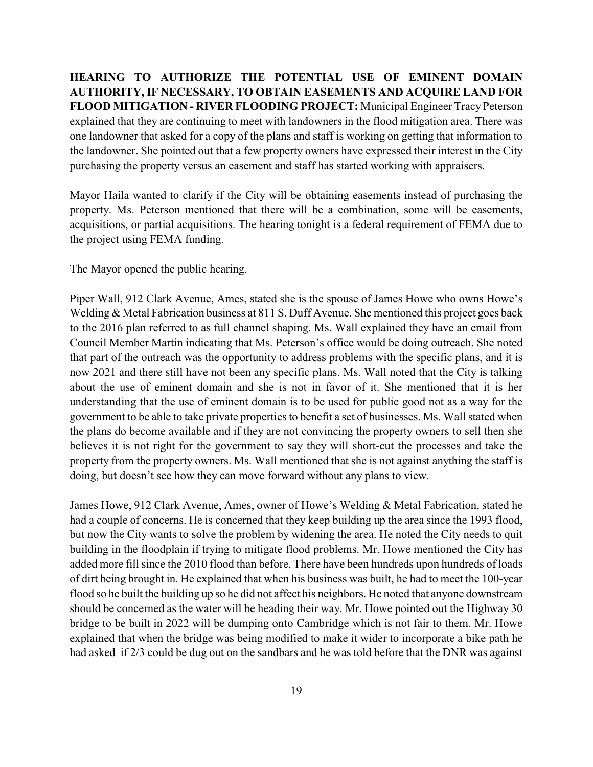**HEARING TO AUTHORIZE THE POTENTIAL USE OF EMINENT DOMAIN AUTHORITY, IF NECESSARY, TO OBTAIN EASEMENTS AND ACQUIRE LAND FOR FLOOD MITIGATION - RIVER FLOODING PROJECT:** Municipal Engineer Tracy Peterson explained that they are continuing to meet with landowners in the flood mitigation area. There was one landowner that asked for a copy of the plans and staff is working on getting that information to the landowner. She pointed out that a few property owners have expressed their interest in the City purchasing the property versus an easement and staff has started working with appraisers.

Mayor Haila wanted to clarify if the City will be obtaining easements instead of purchasing the property. Ms. Peterson mentioned that there will be a combination, some will be easements, acquisitions, or partial acquisitions. The hearing tonight is a federal requirement of FEMA due to the project using FEMA funding.

The Mayor opened the public hearing.

Piper Wall, 912 Clark Avenue, Ames, stated she is the spouse of James Howe who owns Howe's Welding & Metal Fabrication business at 811 S. Duff Avenue. She mentioned this project goes back to the 2016 plan referred to as full channel shaping. Ms. Wall explained they have an email from Council Member Martin indicating that Ms. Peterson's office would be doing outreach. She noted that part of the outreach was the opportunity to address problems with the specific plans, and it is now 2021 and there still have not been any specific plans. Ms. Wall noted that the City is talking about the use of eminent domain and she is not in favor of it. She mentioned that it is her understanding that the use of eminent domain is to be used for public good not as a way for the government to be able to take private properties to benefit a set of businesses. Ms. Wall stated when the plans do become available and if they are not convincing the property owners to sell then she believes it is not right for the government to say they will short-cut the processes and take the property from the property owners. Ms. Wall mentioned that she is not against anything the staff is doing, but doesn't see how they can move forward without any plans to view.

James Howe, 912 Clark Avenue, Ames, owner of Howe's Welding & Metal Fabrication, stated he had a couple of concerns. He is concerned that they keep building up the area since the 1993 flood, but now the City wants to solve the problem by widening the area. He noted the City needs to quit building in the floodplain if trying to mitigate flood problems. Mr. Howe mentioned the City has added more fill since the 2010 flood than before. There have been hundreds upon hundreds of loads of dirt being brought in. He explained that when his business was built, he had to meet the 100-year flood so he built the building up so he did not affect his neighbors. He noted that anyone downstream should be concerned as the water will be heading their way. Mr. Howe pointed out the Highway 30 bridge to be built in 2022 will be dumping onto Cambridge which is not fair to them. Mr. Howe explained that when the bridge was being modified to make it wider to incorporate a bike path he had asked if 2/3 could be dug out on the sandbars and he was told before that the DNR was against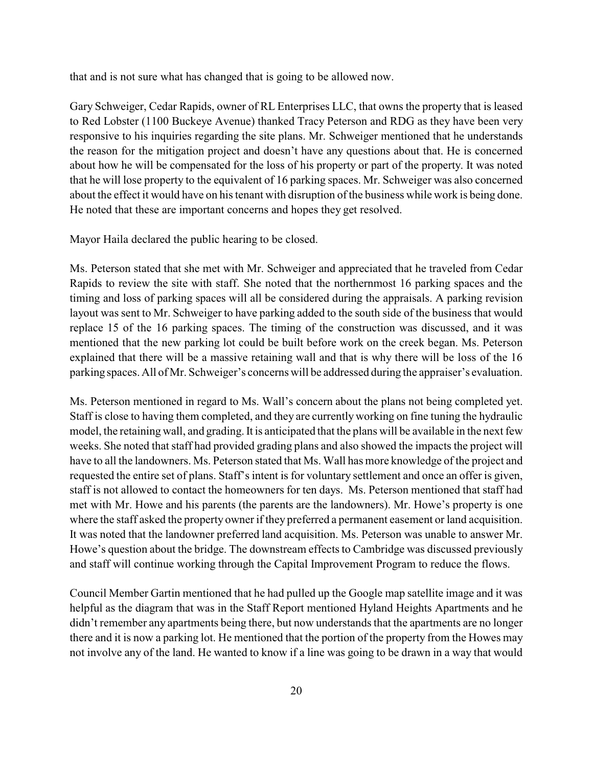that and is not sure what has changed that is going to be allowed now.

Gary Schweiger, Cedar Rapids, owner of RL Enterprises LLC, that owns the property that is leased to Red Lobster (1100 Buckeye Avenue) thanked Tracy Peterson and RDG as they have been very responsive to his inquiries regarding the site plans. Mr. Schweiger mentioned that he understands the reason for the mitigation project and doesn't have any questions about that. He is concerned about how he will be compensated for the loss of his property or part of the property. It was noted that he will lose property to the equivalent of 16 parking spaces. Mr. Schweiger was also concerned about the effect it would have on his tenant with disruption of the business while work is being done. He noted that these are important concerns and hopes they get resolved.

Mayor Haila declared the public hearing to be closed.

Ms. Peterson stated that she met with Mr. Schweiger and appreciated that he traveled from Cedar Rapids to review the site with staff. She noted that the northernmost 16 parking spaces and the timing and loss of parking spaces will all be considered during the appraisals. A parking revision layout was sent to Mr. Schweiger to have parking added to the south side of the business that would replace 15 of the 16 parking spaces. The timing of the construction was discussed, and it was mentioned that the new parking lot could be built before work on the creek began. Ms. Peterson explained that there will be a massive retaining wall and that is why there will be loss of the 16 parking spaces. All of Mr. Schweiger's concerns will be addressed during the appraiser's evaluation.

Ms. Peterson mentioned in regard to Ms. Wall's concern about the plans not being completed yet. Staff is close to having them completed, and they are currently working on fine tuning the hydraulic model, the retaining wall, and grading. It is anticipated that the plans will be available in the next few weeks. She noted that staff had provided grading plans and also showed the impacts the project will have to all the landowners. Ms. Peterson stated that Ms. Wall has more knowledge of the project and requested the entire set of plans. Staff's intent is for voluntary settlement and once an offer is given, staff is not allowed to contact the homeowners for ten days. Ms. Peterson mentioned that staff had met with Mr. Howe and his parents (the parents are the landowners). Mr. Howe's property is one where the staff asked the property owner if they preferred a permanent easement or land acquisition. It was noted that the landowner preferred land acquisition. Ms. Peterson was unable to answer Mr. Howe's question about the bridge. The downstream effects to Cambridge was discussed previously and staff will continue working through the Capital Improvement Program to reduce the flows.

Council Member Gartin mentioned that he had pulled up the Google map satellite image and it was helpful as the diagram that was in the Staff Report mentioned Hyland Heights Apartments and he didn't remember any apartments being there, but now understands that the apartments are no longer there and it is now a parking lot. He mentioned that the portion of the property from the Howes may not involve any of the land. He wanted to know if a line was going to be drawn in a way that would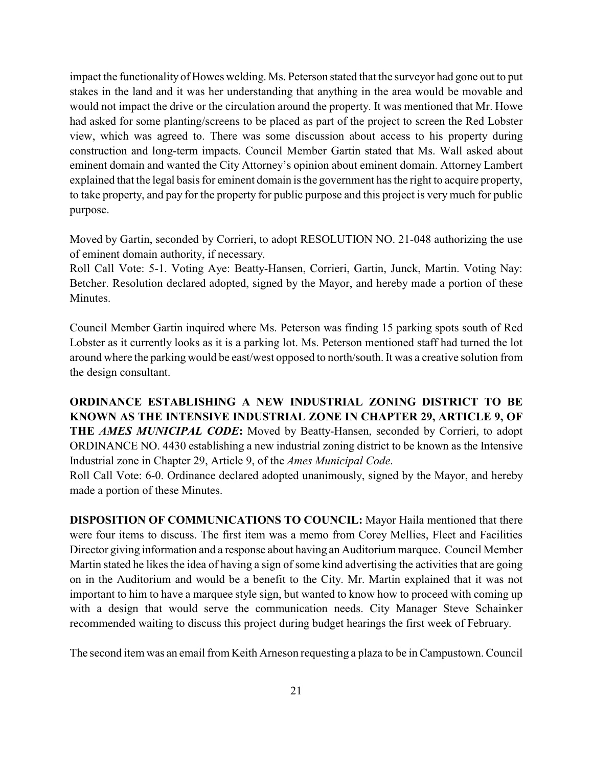impact the functionality of Howes welding. Ms. Peterson stated that the surveyor had gone out to put stakes in the land and it was her understanding that anything in the area would be movable and would not impact the drive or the circulation around the property. It was mentioned that Mr. Howe had asked for some planting/screens to be placed as part of the project to screen the Red Lobster view, which was agreed to. There was some discussion about access to his property during construction and long-term impacts. Council Member Gartin stated that Ms. Wall asked about eminent domain and wanted the City Attorney's opinion about eminent domain. Attorney Lambert explained that the legal basis for eminent domain is the government has the right to acquire property, to take property, and pay for the property for public purpose and this project is very much for public purpose.

Moved by Gartin, seconded by Corrieri, to adopt RESOLUTION NO. 21-048 authorizing the use of eminent domain authority, if necessary.

Roll Call Vote: 5-1. Voting Aye: Beatty-Hansen, Corrieri, Gartin, Junck, Martin. Voting Nay: Betcher. Resolution declared adopted, signed by the Mayor, and hereby made a portion of these Minutes.

Council Member Gartin inquired where Ms. Peterson was finding 15 parking spots south of Red Lobster as it currently looks as it is a parking lot. Ms. Peterson mentioned staff had turned the lot around where the parking would be east/west opposed to north/south. It was a creative solution from the design consultant.

**ORDINANCE ESTABLISHING A NEW INDUSTRIAL ZONING DISTRICT TO BE KNOWN AS THE INTENSIVE INDUSTRIAL ZONE IN CHAPTER 29, ARTICLE 9, OF THE** *AMES MUNICIPAL CODE***:** Moved by Beatty-Hansen, seconded by Corrieri, to adopt ORDINANCE NO. 4430 establishing a new industrial zoning district to be known as the Intensive Industrial zone in Chapter 29, Article 9, of the *Ames Municipal Code*.

Roll Call Vote: 6-0. Ordinance declared adopted unanimously, signed by the Mayor, and hereby made a portion of these Minutes.

**DISPOSITION OF COMMUNICATIONS TO COUNCIL:** Mayor Haila mentioned that there were four items to discuss. The first item was a memo from Corey Mellies, Fleet and Facilities Director giving information and a response about having an Auditorium marquee. Council Member Martin stated he likes the idea of having a sign of some kind advertising the activities that are going on in the Auditorium and would be a benefit to the City. Mr. Martin explained that it was not important to him to have a marquee style sign, but wanted to know how to proceed with coming up with a design that would serve the communication needs. City Manager Steve Schainker recommended waiting to discuss this project during budget hearings the first week of February.

The second item was an email from Keith Arneson requesting a plaza to be in Campustown. Council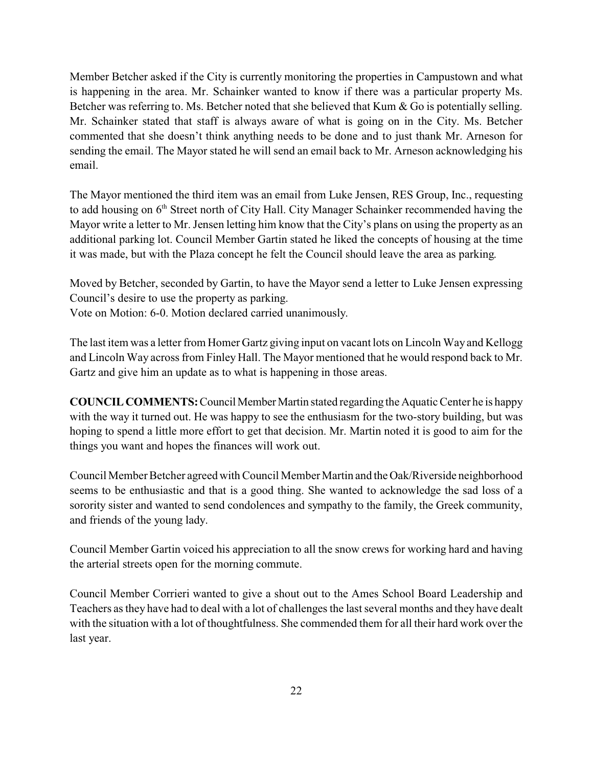Member Betcher asked if the City is currently monitoring the properties in Campustown and what is happening in the area. Mr. Schainker wanted to know if there was a particular property Ms. Betcher was referring to. Ms. Betcher noted that she believed that Kum & Go is potentially selling. Mr. Schainker stated that staff is always aware of what is going on in the City. Ms. Betcher commented that she doesn't think anything needs to be done and to just thank Mr. Arneson for sending the email. The Mayor stated he will send an email back to Mr. Arneson acknowledging his email.

The Mayor mentioned the third item was an email from Luke Jensen, RES Group, Inc., requesting to add housing on 6<sup>th</sup> Street north of City Hall. City Manager Schainker recommended having the Mayor write a letter to Mr. Jensen letting him know that the City's plans on using the property as an additional parking lot. Council Member Gartin stated he liked the concepts of housing at the time it was made, but with the Plaza concept he felt the Council should leave the area as parking.

Moved by Betcher, seconded by Gartin, to have the Mayor send a letter to Luke Jensen expressing Council's desire to use the property as parking.

Vote on Motion: 6-0. Motion declared carried unanimously.

The last item was a letter from Homer Gartz giving input on vacant lots on Lincoln Way and Kellogg and Lincoln Way across from Finley Hall. The Mayor mentioned that he would respond back to Mr. Gartz and give him an update as to what is happening in those areas.

**COUNCIL COMMENTS:** Council Member Martin stated regarding the Aquatic Center he is happy with the way it turned out. He was happy to see the enthusiasm for the two-story building, but was hoping to spend a little more effort to get that decision. Mr. Martin noted it is good to aim for the things you want and hopes the finances will work out.

Council Member Betcher agreed with Council Member Martin and the Oak/Riverside neighborhood seems to be enthusiastic and that is a good thing. She wanted to acknowledge the sad loss of a sorority sister and wanted to send condolences and sympathy to the family, the Greek community, and friends of the young lady.

Council Member Gartin voiced his appreciation to all the snow crews for working hard and having the arterial streets open for the morning commute.

Council Member Corrieri wanted to give a shout out to the Ames School Board Leadership and Teachers as they have had to deal with a lot of challenges the last several months and they have dealt with the situation with a lot of thoughtfulness. She commended them for all their hard work over the last year.